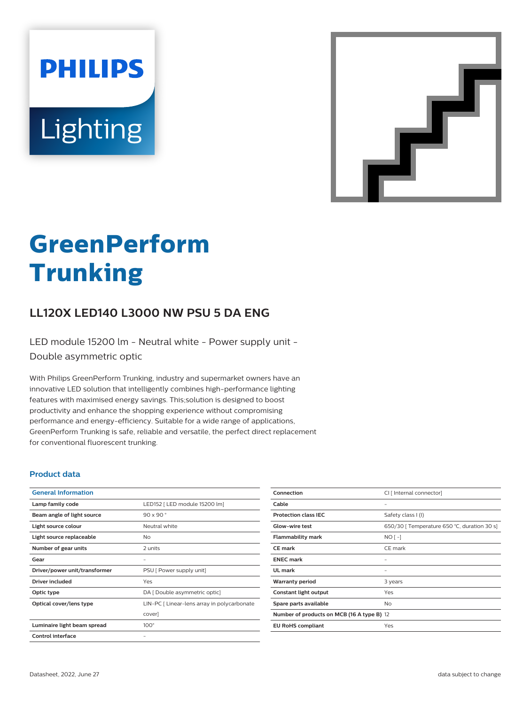# **PHILIPS** Lighting



# **GreenPerform Trunking**

# **LL120X LED140 L3000 NW PSU 5 DA ENG**

LED module 15200 lm - Neutral white - Power supply unit - Double asymmetric optic

With Philips GreenPerform Trunking, industry and supermarket owners have an innovative LED solution that intelligently combines high-performance lighting features with maximised energy savings. This;solution is designed to boost productivity and enhance the shopping experience without compromising performance and energy-efficiency. Suitable for a wide range of applications, GreenPerform Trunking is safe, reliable and versatile, the perfect direct replacement for conventional fluorescent trunking.

#### **Product data**

| <b>General Information</b>    |                                             |
|-------------------------------|---------------------------------------------|
| Lamp family code              | LED152   LED module 15200 lm]               |
| Beam angle of light source    | $90 \times 90$                              |
| Light source colour           | Neutral white                               |
| Light source replaceable      | Nο                                          |
| Number of gear units          | 2 units                                     |
| Gear                          |                                             |
| Driver/power unit/transformer | PSU [ Power supply unit]                    |
| Driver included               | Yes                                         |
| Optic type                    | DA [ Double asymmetric optic]               |
| Optical cover/lens type       | LIN-PC [ Linear-lens array in polycarbonate |
|                               | cover]                                      |
| Luminaire light beam spread   | $100^\circ$                                 |
| Control interface             |                                             |
|                               |                                             |

| Connection                                 | CI [ Internal connector]                    |
|--------------------------------------------|---------------------------------------------|
| Cable                                      |                                             |
| <b>Protection class IEC</b>                | Safety class I (I)                          |
| <b>Glow-wire test</b>                      | 650/30   Temperature 650 °C, duration 30 s] |
| <b>Flammability mark</b>                   | $NO[-]$                                     |
| <b>CE</b> mark                             | CE mark                                     |
| <b>ENEC mark</b>                           |                                             |
| UL mark                                    |                                             |
| <b>Warranty period</b>                     | 3 years                                     |
| Constant light output                      | Yes                                         |
| Spare parts available                      | No                                          |
| Number of products on MCB (16 A type B) 12 |                                             |
| <b>EU RoHS compliant</b>                   | Yes                                         |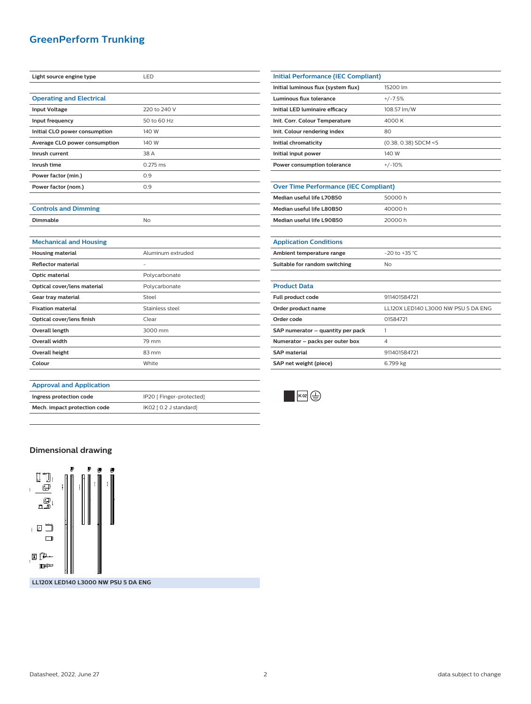## **GreenPerform Trunking**

| Light source engine type        | LED               |
|---------------------------------|-------------------|
|                                 |                   |
| <b>Operating and Electrical</b> |                   |
| <b>Input Voltage</b>            | 220 to 240 V      |
| Input frequency                 | 50 to 60 Hz       |
| Initial CLO power consumption   | 140 W             |
| Average CLO power consumption   | 140 W             |
| Inrush current                  | 38 A              |
| Inrush time                     | $0.275$ ms        |
| Power factor (min.)             | 0.9               |
| Power factor (nom.)             | 0.9               |
|                                 |                   |
| <b>Controls and Dimming</b>     |                   |
| Dimmable                        | No                |
|                                 |                   |
| <b>Mechanical and Housing</b>   |                   |
| <b>Housing material</b>         | Aluminum extruded |
| <b>Reflector material</b>       |                   |
| Optic material                  | Polycarbonate     |
| Optical cover/lens material     | Polycarbonate     |
| Gear tray material              | Steel             |
| <b>Fixation material</b>        | Stainless steel   |
| Optical cover/lens finish       | Clear             |

| <b>Initial Performance (IEC Compliant)</b>   |                                     |  |
|----------------------------------------------|-------------------------------------|--|
| Initial luminous flux (system flux)          | 15200 lm                            |  |
| Luminous flux tolerance                      | $+/-7.5%$                           |  |
| Initial LED luminaire efficacy               | 108.57 lm/W                         |  |
| Init. Corr. Colour Temperature               | 4000 K                              |  |
| Init. Colour rendering index                 | 80                                  |  |
| Initial chromaticity                         | (0.38, 0.38) SDCM <5                |  |
| Initial input power                          | 140 W                               |  |
| Power consumption tolerance                  | $+/-10%$                            |  |
|                                              |                                     |  |
| <b>Over Time Performance (IEC Compliant)</b> |                                     |  |
| Median useful life L70B50                    | 50000h                              |  |
| Median useful life L80B50                    | 40000h                              |  |
| Median useful life L90B50                    | 20000 h                             |  |
|                                              |                                     |  |
| <b>Application Conditions</b>                |                                     |  |
| Ambient temperature range                    | $-20$ to $+35$ °C                   |  |
| Suitable for random switching                | No                                  |  |
|                                              |                                     |  |
| <b>Product Data</b>                          |                                     |  |
| Full product code                            | 911401584721                        |  |
| Order product name                           | LL120X LED140 L3000 NW PSU 5 DA ENG |  |
| Order code                                   | 01584721                            |  |
| SAP numerator - quantity per pack            | 1                                   |  |
| Numerator - packs per outer box              | 4                                   |  |
| <b>SAP</b> material                          | 911401584721                        |  |
| SAP net weight (piece)                       | 6.799 kg                            |  |



#### **Approval and Application Ingress protection code** IP20 [ Finger-protected]

**Mech. impact protection code** IK02 [ 0.2 J standard]

**Overall length** 3000 mm **Overall width** 79 mm **Overall height** 83 mm **Colour** White

### **Dimensional drawing**